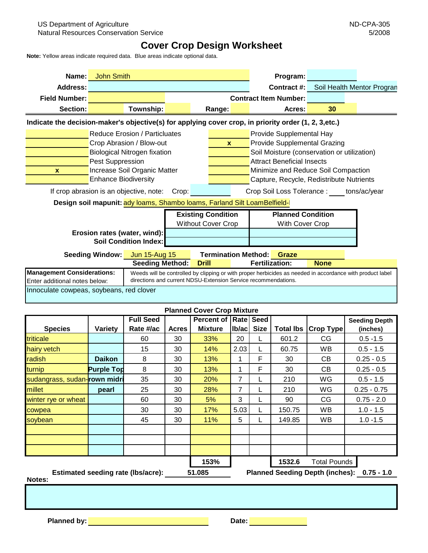## **Cover Crop Design Worksheet**

**Note:** Yellow areas indicate required data. Blue areas indicate optional data.

| Name:                                                                                                 | <b>John Smith</b>                                                                                                                                                                                                                                                                                                 |                                                                                                                                                                                                                                                                           |                                                  | Program:                                    |                            |  |  |  |
|-------------------------------------------------------------------------------------------------------|-------------------------------------------------------------------------------------------------------------------------------------------------------------------------------------------------------------------------------------------------------------------------------------------------------------------|---------------------------------------------------------------------------------------------------------------------------------------------------------------------------------------------------------------------------------------------------------------------------|--------------------------------------------------|---------------------------------------------|----------------------------|--|--|--|
| Address:                                                                                              |                                                                                                                                                                                                                                                                                                                   |                                                                                                                                                                                                                                                                           |                                                  | Contract #:                                 | Soil Health Mentor Progran |  |  |  |
| <b>Field Number:</b>                                                                                  |                                                                                                                                                                                                                                                                                                                   | <b>Contract Item Number:</b>                                                                                                                                                                                                                                              |                                                  |                                             |                            |  |  |  |
| Section:                                                                                              | Township:                                                                                                                                                                                                                                                                                                         |                                                                                                                                                                                                                                                                           | Range:                                           | Acres:                                      | 30                         |  |  |  |
| Indicate the decision-maker's objective(s) for applying cover crop, in priority order (1, 2, 3, etc.) |                                                                                                                                                                                                                                                                                                                   |                                                                                                                                                                                                                                                                           |                                                  |                                             |                            |  |  |  |
| $\mathbf{x}$                                                                                          | <b>Reduce Erosion / Particluates</b><br>Crop Abrasion / Blow-out<br><b>Biological Nitrogen fixation</b><br>Pest Suppression<br>Increase Soil Organic Matter<br><b>Enhance Biodiversity</b><br>If crop abrasion is an objective, note:<br>Design soil mapunit: ady loams, Shambo loams, Farland Silt LoamBelfield- | Provide Supplemental Hay<br>Provide Supplemental Grazing<br>Soil Moisture (conservation or utilization)<br><b>Attract Beneficial Insects</b><br>Minimize and Reduce Soil Compaction<br>Capture, Recycle, Redistribute Nutrients<br>Crop Soil Loss Tolerance: tons/ac/year |                                                  |                                             |                            |  |  |  |
| Erosion rates (water, wind):<br><b>Soil Condition Index:</b>                                          |                                                                                                                                                                                                                                                                                                                   | <b>Existing Condition</b><br><b>Without Cover Crop</b>                                                                                                                                                                                                                    |                                                  | <b>Planned Condition</b><br>With Cover Crop |                            |  |  |  |
|                                                                                                       | <b>Seeding Window:</b><br><b>Jun 15-Aug 15</b><br><b>Seeding Method:</b>                                                                                                                                                                                                                                          |                                                                                                                                                                                                                                                                           | <b>Termination Method:</b> Graze<br><b>Drill</b> | <b>Fertilization:</b>                       | <b>None</b>                |  |  |  |
| <b>Management Considerations:</b><br>Enter additional notes below:                                    | Weeds will be controlled by clipping or with proper herbicides as needed in accordance with product label<br>directions and current NDSU-Extension Service recommendations.                                                                                                                                       |                                                                                                                                                                                                                                                                           |                                                  |                                             |                            |  |  |  |
| Innoculate cowpeas, soybeans, red clover                                                              |                                                                                                                                                                                                                                                                                                                   |                                                                                                                                                                                                                                                                           |                                                  |                                             |                            |  |  |  |

| <b>Planned Cover Crop Mixture</b>         |                   |                               |              |                                                   |                |        |                     |                  |                                  |
|-------------------------------------------|-------------------|-------------------------------|--------------|---------------------------------------------------|----------------|--------|---------------------|------------------|----------------------------------|
| <b>Species</b>                            | <b>Variety</b>    | <b>Full Seed</b><br>Rate #/ac | <b>Acres</b> | <b>Percent of   Rate   Seed</b><br><b>Mixture</b> | Ib/ac          | Size   | <b>Total Ibs</b>    | <b>Crop Type</b> | <b>Seeding Depth</b><br>(inches) |
| triticale                                 |                   | 60                            | 30           | 33%                                               | 20             |        | 601.2               | CG.              | $0.5 - 1.5$                      |
| hairy vetch                               |                   | 15                            | 30           | 14%                                               | 2.03           |        | 60.75               | WB               | $0.5 - 1.5$                      |
| radish                                    | <b>Daikon</b>     | 8                             | 30           | 13%                                               | 1              | F      | 30                  | CВ               | $0.25 - 0.5$                     |
| turnip                                    | <b>Purple Top</b> | 8                             | 30           | 13%                                               | 1              | F      | 30                  | CВ               | $0.25 - 0.5$                     |
| sudangrass, sudan-rown midri              |                   | 35                            | 30           | 20%                                               | $\overline{7}$ |        | 210                 | WG               | $0.5 - 1.5$                      |
| millet                                    | pearl             | 25                            | 30           | 28%                                               | 7              |        | 210                 | WG               | $0.25 - 0.75$                    |
| winter rye or wheat                       |                   | 60                            | 30           | 5%                                                | 3              |        | 90                  | CG               | $0.75 - 2.0$                     |
| cowpea                                    |                   | 30                            | 30           | 17%                                               | 5.03           |        | 150.75              | WB               | $1.0 - 1.5$                      |
| soybean                                   |                   | 45                            | 30           | 11%                                               | 5              |        | 149.85              | <b>WB</b>        | $1.0 - 1.5$                      |
|                                           |                   |                               |              |                                                   |                |        |                     |                  |                                  |
|                                           |                   |                               | 153%         |                                                   |                | 1532.6 | <b>Total Pounds</b> |                  |                                  |
| <b>Estimated seeding rate (Ibs/acre):</b> |                   |                               | 51.085       | <b>Planned Seeding Depth (inches):</b>            |                |        | $0.75 - 1.0$        |                  |                                  |

**Notes:**

**Planned by: Date: Date: Date: Date: Date: Date: Date: Date: Date: Date: Date: Date: Date: Date: Date: Date: Date: Date: Date: Date: Date: Date: Date: Date: Date: Date:**